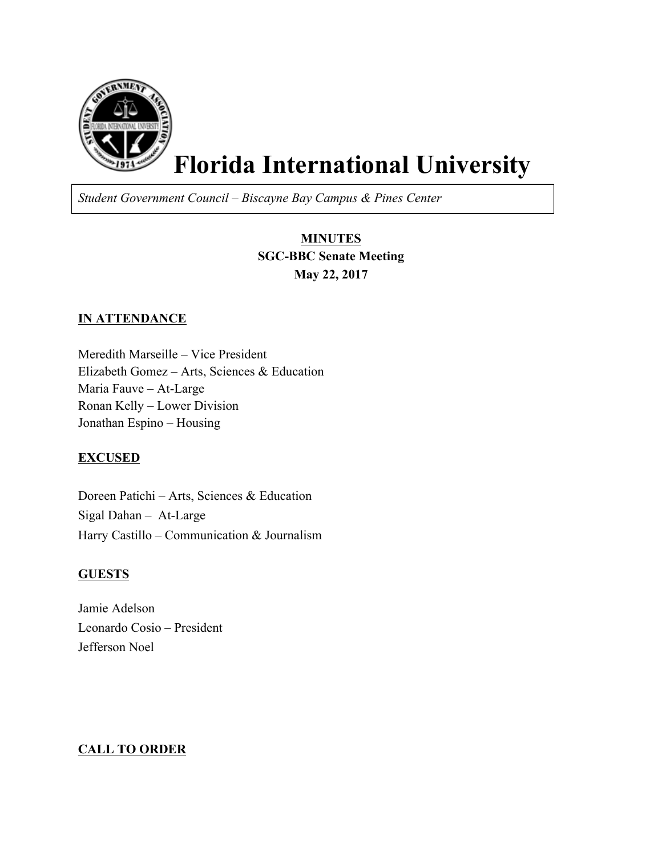

# **Florida International University**

*Student Government Council – Biscayne Bay Campus & Pines Center*

## **MINUTES SGC-BBC Senate Meeting May 22, 2017**

## **IN ATTENDANCE**

Meredith Marseille – Vice President Elizabeth Gomez – Arts, Sciences & Education Maria Fauve – At-Large Ronan Kelly – Lower Division Jonathan Espino – Housing

#### **EXCUSED**

Doreen Patichi – Arts, Sciences & Education Sigal Dahan – At-Large Harry Castillo – Communication & Journalism

## **GUESTS**

Jamie Adelson Leonardo Cosio – President Jefferson Noel

## **CALL TO ORDER**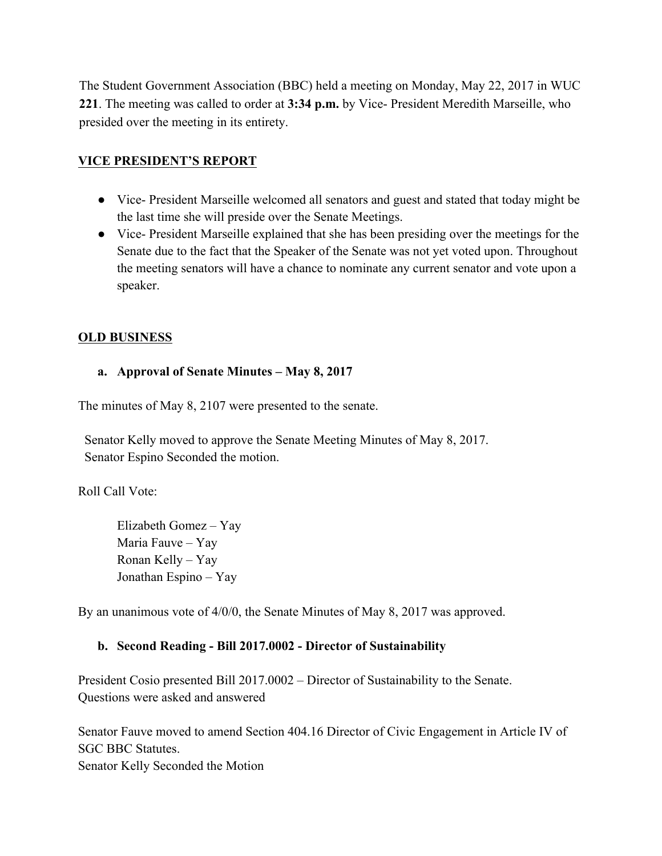The Student Government Association (BBC) held a meeting on Monday, May 22, 2017 in WUC **221**. The meeting was called to order at **3:34 p.m.** by Vice- President Meredith Marseille, who presided over the meeting in its entirety.

## **VICE PRESIDENT'S REPORT**

- Vice- President Marseille welcomed all senators and guest and stated that today might be the last time she will preside over the Senate Meetings.
- Vice- President Marseille explained that she has been presiding over the meetings for the Senate due to the fact that the Speaker of the Senate was not yet voted upon. Throughout the meeting senators will have a chance to nominate any current senator and vote upon a speaker.

## **OLD BUSINESS**

## **a. Approval of Senate Minutes – May 8, 2017**

The minutes of May 8, 2107 were presented to the senate.

 Senator Kelly moved to approve the Senate Meeting Minutes of May 8, 2017. Senator Espino Seconded the motion.

Roll Call Vote:

Elizabeth Gomez – Yay Maria Fauve – Yay Ronan Kelly – Yay Jonathan Espino – Yay

By an unanimous vote of 4/0/0, the Senate Minutes of May 8, 2017 was approved.

## **b. Second Reading - Bill 2017.0002 - Director of Sustainability**

President Cosio presented Bill 2017.0002 – Director of Sustainability to the Senate. Questions were asked and answered

Senator Fauve moved to amend Section 404.16 Director of Civic Engagement in Article IV of SGC BBC Statutes. Senator Kelly Seconded the Motion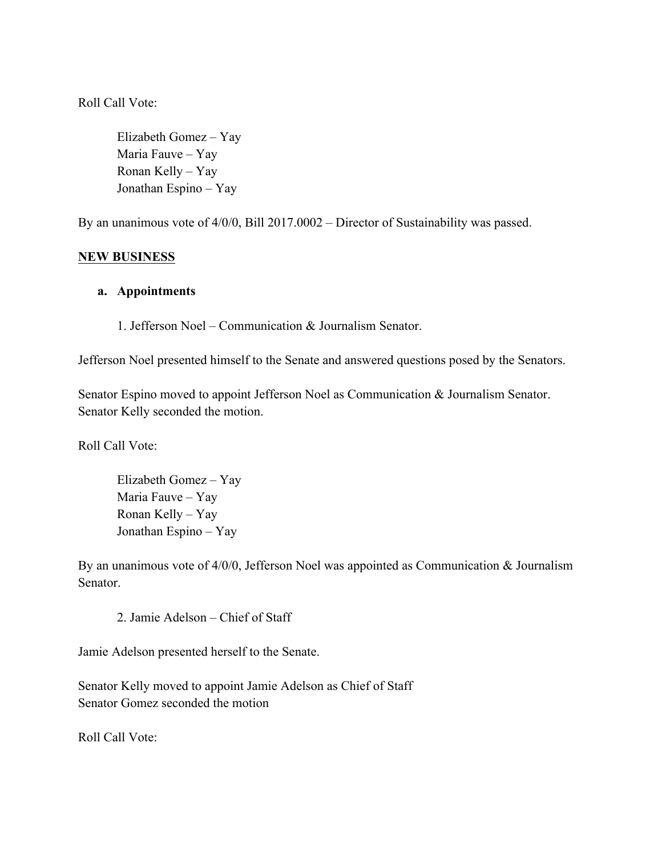Roll Call Vote:

Elizabeth Gomez – Yay Maria Fauve – Yay Ronan Kelly – Yay Jonathan Espino – Yay

By an unanimous vote of 4/0/0, Bill 2017.0002 – Director of Sustainability was passed.

#### **NEW BUSINESS**

#### **a. Appointments**

1. Jefferson Noel – Communication & Journalism Senator.

Jefferson Noel presented himself to the Senate and answered questions posed by the Senators.

Senator Espino moved to appoint Jefferson Noel as Communication & Journalism Senator. Senator Kelly seconded the motion.

Roll Call Vote:

Elizabeth Gomez – Yay Maria Fauve – Yay Ronan Kelly – Yay Jonathan Espino – Yay

By an unanimous vote of 4/0/0, Jefferson Noel was appointed as Communication & Journalism Senator.

2. Jamie Adelson – Chief of Staff

Jamie Adelson presented herself to the Senate.

Senator Kelly moved to appoint Jamie Adelson as Chief of Staff Senator Gomez seconded the motion

Roll Call Vote: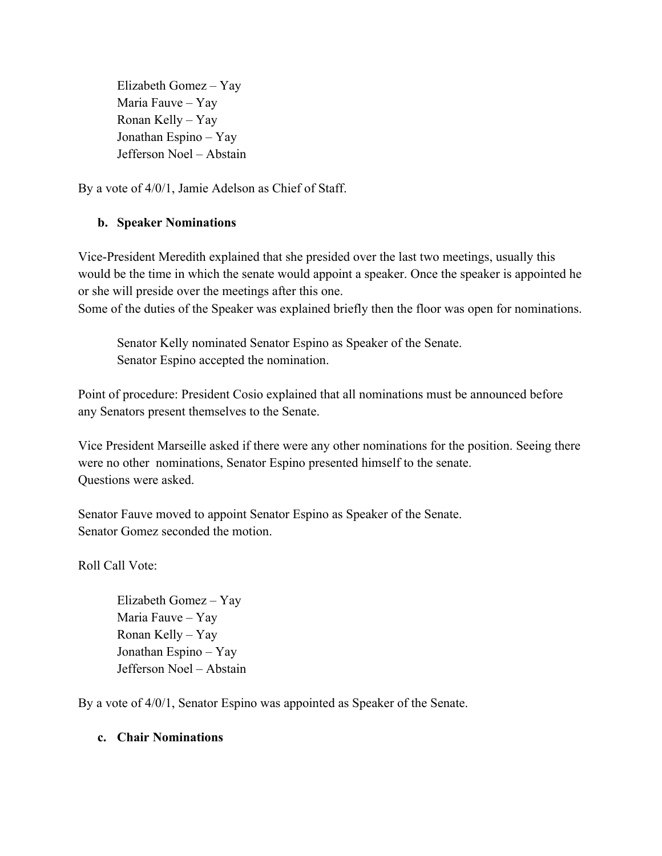Elizabeth Gomez – Yay Maria Fauve – Yay Ronan Kelly – Yay Jonathan Espino – Yay Jefferson Noel – Abstain

By a vote of 4/0/1, Jamie Adelson as Chief of Staff.

## **b. Speaker Nominations**

Vice-President Meredith explained that she presided over the last two meetings, usually this would be the time in which the senate would appoint a speaker. Once the speaker is appointed he or she will preside over the meetings after this one.

Some of the duties of the Speaker was explained briefly then the floor was open for nominations.

Senator Kelly nominated Senator Espino as Speaker of the Senate. Senator Espino accepted the nomination.

Point of procedure: President Cosio explained that all nominations must be announced before any Senators present themselves to the Senate.

Vice President Marseille asked if there were any other nominations for the position. Seeing there were no other nominations, Senator Espino presented himself to the senate. Questions were asked.

Senator Fauve moved to appoint Senator Espino as Speaker of the Senate. Senator Gomez seconded the motion.

Roll Call Vote:

Elizabeth Gomez – Yay Maria Fauve – Yay Ronan Kelly – Yay Jonathan Espino – Yay Jefferson Noel – Abstain

By a vote of 4/0/1, Senator Espino was appointed as Speaker of the Senate.

#### **c. Chair Nominations**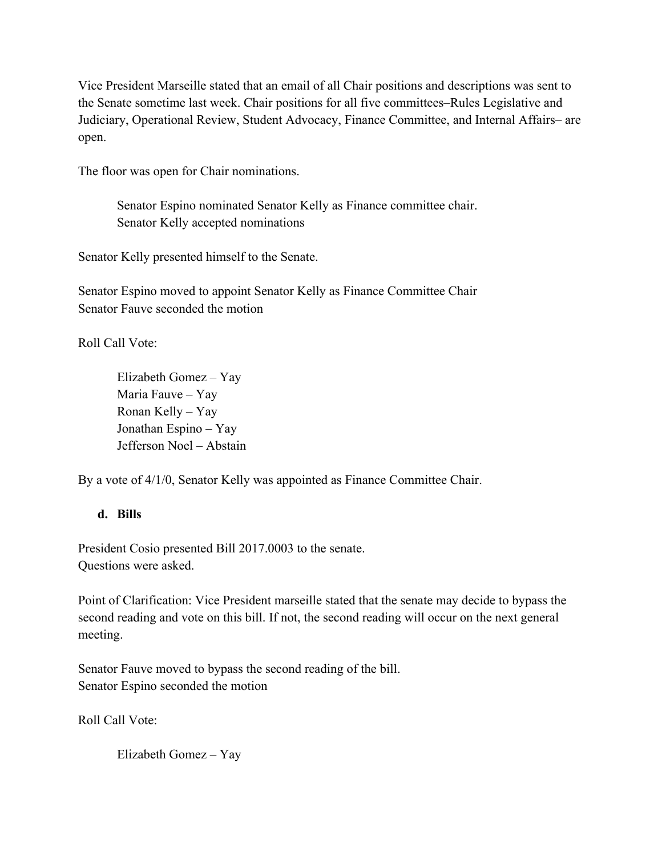Vice President Marseille stated that an email of all Chair positions and descriptions was sent to the Senate sometime last week. Chair positions for all five committees–Rules Legislative and Judiciary, Operational Review, Student Advocacy, Finance Committee, and Internal Affairs– are open.

The floor was open for Chair nominations.

Senator Espino nominated Senator Kelly as Finance committee chair. Senator Kelly accepted nominations

Senator Kelly presented himself to the Senate.

Senator Espino moved to appoint Senator Kelly as Finance Committee Chair Senator Fauve seconded the motion

Roll Call Vote:

Elizabeth Gomez – Yay Maria Fauve – Yay Ronan Kelly – Yay Jonathan Espino – Yay Jefferson Noel – Abstain

By a vote of  $4/1/0$ , Senator Kelly was appointed as Finance Committee Chair.

#### **d. Bills**

President Cosio presented Bill 2017.0003 to the senate. Questions were asked.

Point of Clarification: Vice President marseille stated that the senate may decide to bypass the second reading and vote on this bill. If not, the second reading will occur on the next general meeting.

Senator Fauve moved to bypass the second reading of the bill. Senator Espino seconded the motion

Roll Call Vote:

Elizabeth Gomez – Yay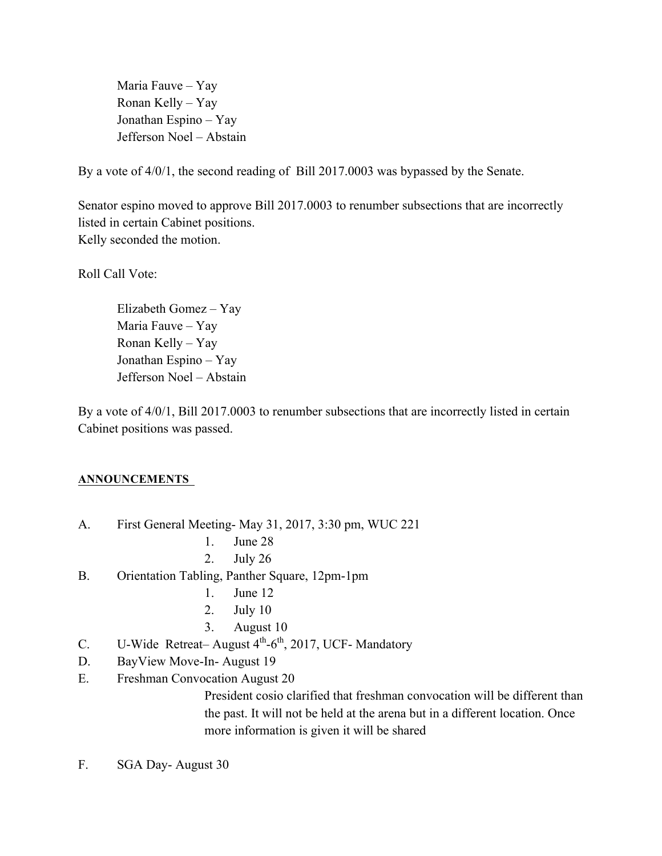Maria Fauve – Yay Ronan Kelly – Yay Jonathan Espino – Yay Jefferson Noel – Abstain

By a vote of 4/0/1, the second reading of Bill 2017.0003 was bypassed by the Senate.

Senator espino moved to approve Bill 2017.0003 to renumber subsections that are incorrectly listed in certain Cabinet positions. Kelly seconded the motion.

Roll Call Vote:

Elizabeth Gomez – Yay Maria Fauve – Yay Ronan Kelly – Yay Jonathan Espino – Yay Jefferson Noel – Abstain

By a vote of  $4/0/1$ , Bill 2017.0003 to renumber subsections that are incorrectly listed in certain Cabinet positions was passed.

#### **ANNOUNCEMENTS**

- A. First General Meeting- May 31, 2017, 3:30 pm, WUC 221
	- 1. June 28
	- 2. July 26
- B. Orientation Tabling, Panther Square, 12pm-1pm
	- 1. June 12
	- 2. July 10
	- 3. August 10
- C. U-Wide Retreat– August  $4<sup>th</sup>$ -6<sup>th</sup>, 2017, UCF- Mandatory
- D. BayView Move-In- August 19
- E. Freshman Convocation August 20

President cosio clarified that freshman convocation will be different than the past. It will not be held at the arena but in a different location. Once more information is given it will be shared

F. SGA Day- August 30